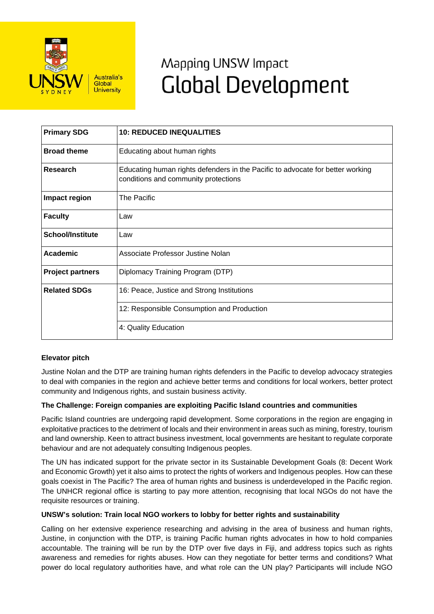

# Mapping UNSW Impact **Global Development**

| <b>Primary SDG</b>      | <b>10: REDUCED INEQUALITIES</b>                                                                                        |
|-------------------------|------------------------------------------------------------------------------------------------------------------------|
| <b>Broad theme</b>      | Educating about human rights                                                                                           |
| Research                | Educating human rights defenders in the Pacific to advocate for better working<br>conditions and community protections |
| Impact region           | The Pacific                                                                                                            |
| <b>Faculty</b>          | Law                                                                                                                    |
| <b>School/Institute</b> | Law                                                                                                                    |
| Academic                | Associate Professor Justine Nolan                                                                                      |
| <b>Project partners</b> | Diplomacy Training Program (DTP)                                                                                       |
| <b>Related SDGs</b>     | 16: Peace, Justice and Strong Institutions                                                                             |
|                         | 12: Responsible Consumption and Production                                                                             |
|                         | 4: Quality Education                                                                                                   |

# **Elevator pitch**

Justine Nolan and the DTP are training human rights defenders in the Pacific to develop advocacy strategies to deal with companies in the region and achieve better terms and conditions for local workers, better protect community and Indigenous rights, and sustain business activity.

#### **The Challenge: Foreign companies are exploiting Pacific Island countries and communities**

Pacific Island countries are undergoing rapid development. Some corporations in the region are engaging in exploitative practices to the detriment of locals and their environment in areas such as mining, forestry, tourism and land ownership. Keen to attract business investment, local governments are hesitant to regulate corporate behaviour and are not adequately consulting Indigenous peoples.

The UN has indicated support for the private sector in its Sustainable Development Goals (8: Decent Work and Economic Growth) yet it also aims to protect the rights of workers and Indigenous peoples. How can these goals coexist in The Pacific? The area of human rights and business is underdeveloped in the Pacific region. The UNHCR regional office is starting to pay more attention, recognising that local NGOs do not have the requisite resources or training.

### **UNSW's solution: Train local NGO workers to lobby for better rights and sustainability**

Calling on her extensive experience researching and advising in the area of business and human rights, Justine, in conjunction with the DTP, is training Pacific human rights advocates in how to hold companies accountable. The training will be run by the DTP over five days in Fiji, and address topics such as rights awareness and remedies for rights abuses. How can they negotiate for better terms and conditions? What power do local regulatory authorities have, and what role can the UN play? Participants will include NGO